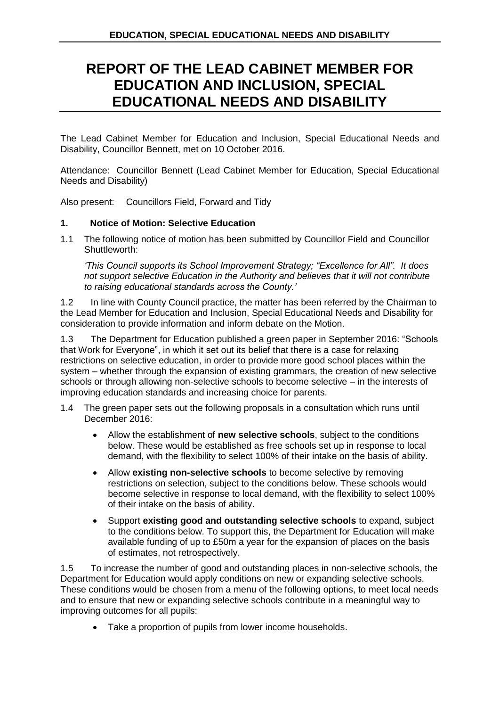## **REPORT OF THE LEAD CABINET MEMBER FOR EDUCATION AND INCLUSION, SPECIAL EDUCATIONAL NEEDS AND DISABILITY**

The Lead Cabinet Member for Education and Inclusion, Special Educational Needs and Disability, Councillor Bennett, met on 10 October 2016.

Attendance: Councillor Bennett (Lead Cabinet Member for Education, Special Educational Needs and Disability)

Also present: Councillors Field, Forward and Tidy

## **1. Notice of Motion: Selective Education**

1.1 The following notice of motion has been submitted by Councillor Field and Councillor Shuttleworth:

*'This Council supports its School Improvement Strategy; "Excellence for All". It does not support selective Education in the Authority and believes that it will not contribute to raising educational standards across the County.'*

1.2 In line with County Council practice, the matter has been referred by the Chairman to the Lead Member for Education and Inclusion, Special Educational Needs and Disability for consideration to provide information and inform debate on the Motion.

1.3 The Department for Education published a green paper in September 2016: "Schools that Work for Everyone", in which it set out its belief that there is a case for relaxing restrictions on selective education, in order to provide more good school places within the system – whether through the expansion of existing grammars, the creation of new selective schools or through allowing non-selective schools to become selective – in the interests of improving education standards and increasing choice for parents.

- 1.4 The green paper sets out the following proposals in a consultation which runs until December 2016:
	- Allow the establishment of **new selective schools**, subject to the conditions below. These would be established as free schools set up in response to local demand, with the flexibility to select 100% of their intake on the basis of ability.
	- Allow **existing non-selective schools** to become selective by removing restrictions on selection, subject to the conditions below. These schools would become selective in response to local demand, with the flexibility to select 100% of their intake on the basis of ability.
	- Support **existing good and outstanding selective schools** to expand, subject to the conditions below. To support this, the Department for Education will make available funding of up to £50m a year for the expansion of places on the basis of estimates, not retrospectively.

1.5 To increase the number of good and outstanding places in non-selective schools, the Department for Education would apply conditions on new or expanding selective schools. These conditions would be chosen from a menu of the following options, to meet local needs and to ensure that new or expanding selective schools contribute in a meaningful way to improving outcomes for all pupils:

Take a proportion of pupils from lower income households.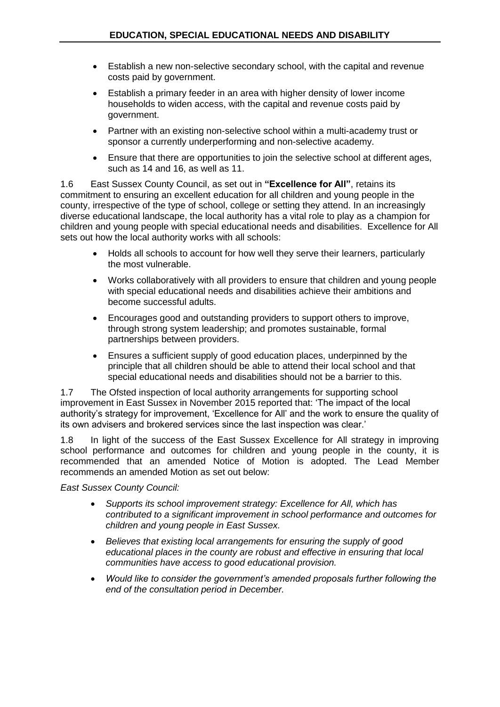- Establish a new non-selective secondary school, with the capital and revenue costs paid by government.
- Establish a primary feeder in an area with higher density of lower income households to widen access, with the capital and revenue costs paid by government.
- Partner with an existing non-selective school within a multi-academy trust or sponsor a currently underperforming and non-selective academy.
- Ensure that there are opportunities to join the selective school at different ages, such as 14 and 16, as well as 11.

1.6 East Sussex County Council, as set out in **"Excellence for All"**, retains its commitment to ensuring an excellent education for all children and young people in the county, irrespective of the type of school, college or setting they attend. In an increasingly diverse educational landscape, the local authority has a vital role to play as a champion for children and young people with special educational needs and disabilities. Excellence for All sets out how the local authority works with all schools:

- Holds all schools to account for how well they serve their learners, particularly the most vulnerable.
- Works collaboratively with all providers to ensure that children and young people with special educational needs and disabilities achieve their ambitions and become successful adults.
- Encourages good and outstanding providers to support others to improve, through strong system leadership; and promotes sustainable, formal partnerships between providers.
- Ensures a sufficient supply of good education places, underpinned by the principle that all children should be able to attend their local school and that special educational needs and disabilities should not be a barrier to this.

1.7 The Ofsted inspection of local authority arrangements for supporting school improvement in East Sussex in November 2015 reported that: 'The impact of the local authority's strategy for improvement, 'Excellence for All' and the work to ensure the quality of its own advisers and brokered services since the last inspection was clear.'

1.8 In light of the success of the East Sussex Excellence for All strategy in improving school performance and outcomes for children and young people in the county, it is recommended that an amended Notice of Motion is adopted. The Lead Member recommends an amended Motion as set out below:

*East Sussex County Council:*

- *Supports its school improvement strategy: Excellence for All, which has contributed to a significant improvement in school performance and outcomes for children and young people in East Sussex.*
- *Believes that existing local arrangements for ensuring the supply of good educational places in the county are robust and effective in ensuring that local communities have access to good educational provision.*
- *Would like to consider the government's amended proposals further following the end of the consultation period in December.*